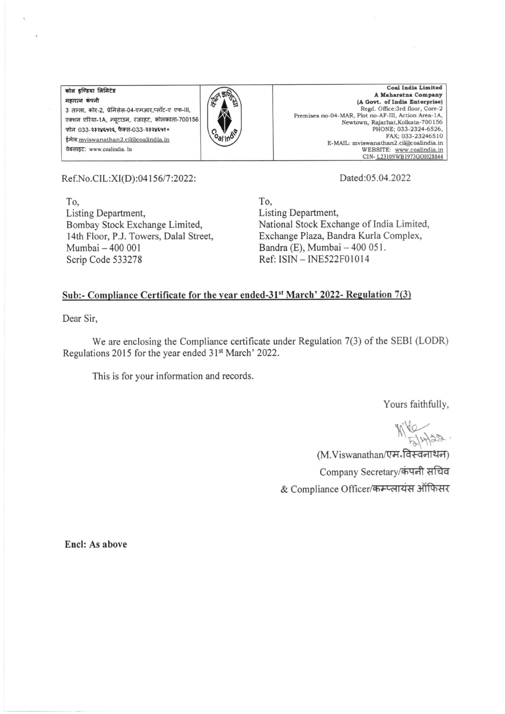कोल इण्डिया लिमिटेड महारत्न कंपनी 3 तल्ला, कोर-2, प्रेमिसेस-04-एमआर,प्लॉट-ए एफ-III, एक्शन एरिया-1A, न्यटाउन, रजरहट, कोलकाता-700156 फोन 033-२३२४६५२६ फैक्स-033-२३२४६५१० ईमेल: mviswanathan2.cil@coalindia.in वेबसाइट: www.coalindia. In



Coal India Limited A Maharatna Company (A Govt. of India Enterprise) Regd. Office:3rd floor, Core-2<br>Premises no-04-MAR, Plot no-AF-III, Action Area-1A, Newtown, Rajarhat, Kolkata-700156 PHONE: 033-2324-6526, FAX; 033-23246510 E-MAIL: mviswanathan2.cil@coalindia.in WEBSITE: www.coalindia.in<br>CIN-L23109WB1973GOl028844

Ref.No.CIL:XI(D):04156/7:2022:

To. Listing Department, Bombay Stock Exchange Limited, 14th Floor, P.J. Towers, Dalal Street, Mumbai - 400 001 Scrip Code 533278

Dated:05.04.2022

To. Listing Department, National Stock Exchange of India Limited, Exchange Plaza, Bandra Kurla Complex, Bandra (E), Mumbai - 400 051. Ref: ISIN - INE522F01014

## Sub:- Compliance Certificate for the year ended-31<sup>st</sup> March' 2022- Regulation 7(3)

Dear Sir,

We are enclosing the Compliance certificate under Regulation 7(3) of the SEBI (LODR) Regulations 2015 for the year ended 31<sup>st</sup> March' 2022.

This is for your information and records.

Yours faithfully,

(M.Viswanathan/एम-विस्वनाथन) Company Secretary/कंपनी सचिव & Compliance Officer/कम्प्लायंस ऑफिसर

Encl: As above